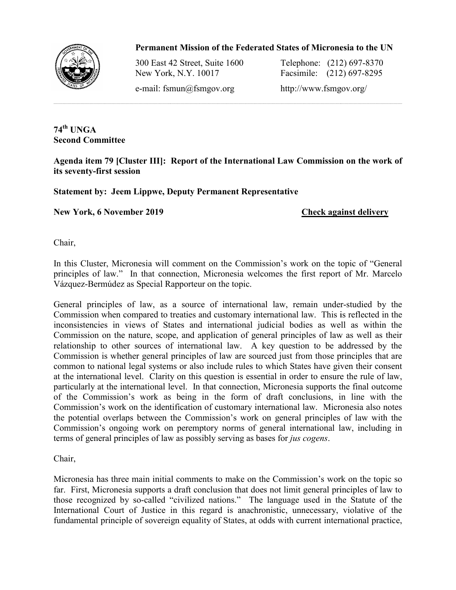## Permanent Mission of the Federated States of Micronesia to the UN



300 East 42 Street, Suite 1600 New York, N.Y. 10017

1600 Telephone: (212) 697 697-8370 10017 Facsimile: (212) 697 697-8295

e-mail: fsmun@fsmgov.org http://www.fsmgov.org/

**74th UNGA Second Committee**

Agenda item 79 [Cluster III]: Report of the International Law Commission on the work of **its seventy-first session Commission on the worl<br>e<br><u>Check against delivery</u>** 

**Statement by: Jeem Lippwe, Deputy Permanent Representative**

**New York, 6 November 2019**

Chair,

In this Cluster, Micronesia will comment on the Commission's work on the topic of "General principles of law." In that connection, Micronesia welcomes the first report of Mr. Marcelo Vázquez-Bermúdez as Special Rapporteur on the topic.

General principles of law, as a source of international law, remain under-studied by the Commission when compared to treaties and customary international law. This is reflected in the Commission when compared to treaties and customary international law. This is reflected in the inconsistencies in views of States and international judicial bodies as well as within the Commission on the nature, scope, and application of general principles of law as well as their relationship to other sources of international law. A key question to be addressed by the Commission is whether general principles of law are sourced just from those principles that are common to national legal systems or also include rules to which States have given their co at the international level. Clarity on this question is essential in order to ensure the rule of law, particularly at the international level. In that connection, Micronesia supports the final outcome of the Commission's work as being in the form of draft conclusions, in line Commission's work on the identification of customary international law. Micronesia also notes the potential overlaps between the Commission's work on general principles of law with the the potential overlaps between the Commission's work on general principles of law with the Commission's ongoing work on peremptory norms of general international law, including in terms of general principles of law as possibly serving as bases for *jus cogens*. A key question to be addressed by the urced just from those principles that are to which States have given their consent essential in order to ensure the rule of law,<br>ion, Micronesia supports the final outcome<br>i of draft conclusions, in line with the

Chair,

Micronesia has three main initial comments to make on the Commission's work on the topic so far. First, Micronesia supports a draft conclusion that does not limit general principles of law to those recognized by so-called "civilized nations." The language used in the Statute of the Micronesia has three main initial comments to make on the Commission's work on the topic so far. First, Micronesia supports a draft conclusion that does not limit general principles of law to those recognized by so-called fundamental principle of sovereign equality of States, at odds with current international practice,